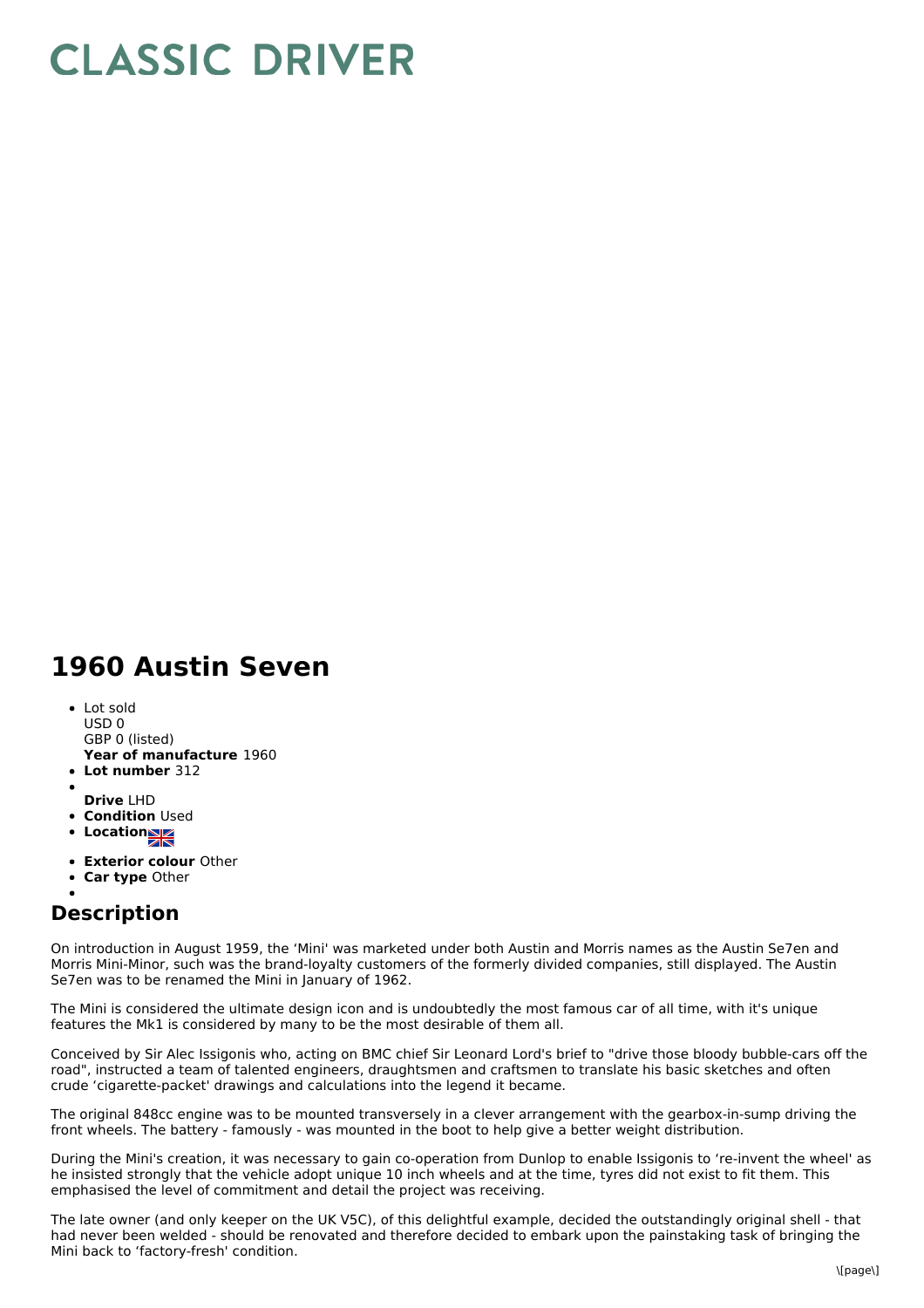## **CLASSIC DRIVER**

## **1960 Austin Seven**

- **Year of manufacture** 1960 Lot sold USD 0 GBP 0 (listed)
- **Lot number** 312
- **Drive** LHD
- **Condition Used**
- **Location**
- **Exterior colour** Other
- **Car type** Other
- 

## **Description**

On introduction in August 1959, the 'Mini' was marketed under both Austin and Morris names as the Austin Se7en and Morris Mini-Minor, such was the brand-loyalty customers of the formerly divided companies, still displayed. The Austin Se7en was to be renamed the Mini in January of 1962.

The Mini is considered the ultimate design icon and is undoubtedly the most famous car of all time, with it's unique features the Mk1 is considered by many to be the most desirable of them all.

Conceived by Sir Alec Issigonis who, acting on BMC chief Sir Leonard Lord's brief to "drive those bloody bubble-cars off the road", instructed a team of talented engineers, draughtsmen and craftsmen to translate his basic sketches and often crude 'cigarette-packet' drawings and calculations into the legend it became.

The original 848cc engine was to be mounted transversely in a clever arrangement with the gearbox-in-sump driving the front wheels. The battery - famously - was mounted in the boot to help give a better weight distribution.

During the Mini's creation, it was necessary to gain co-operation from Dunlop to enable Issigonis to 're-invent the wheel' as he insisted strongly that the vehicle adopt unique 10 inch wheels and at the time, tyres did not exist to fit them. This emphasised the level of commitment and detail the project was receiving.

The late owner (and only keeper on the UK V5C), of this delightful example, decided the outstandingly original shell - that had never been welded - should be renovated and therefore decided to embark upon the painstaking task of bringing the Mini back to 'factory-fresh' condition.